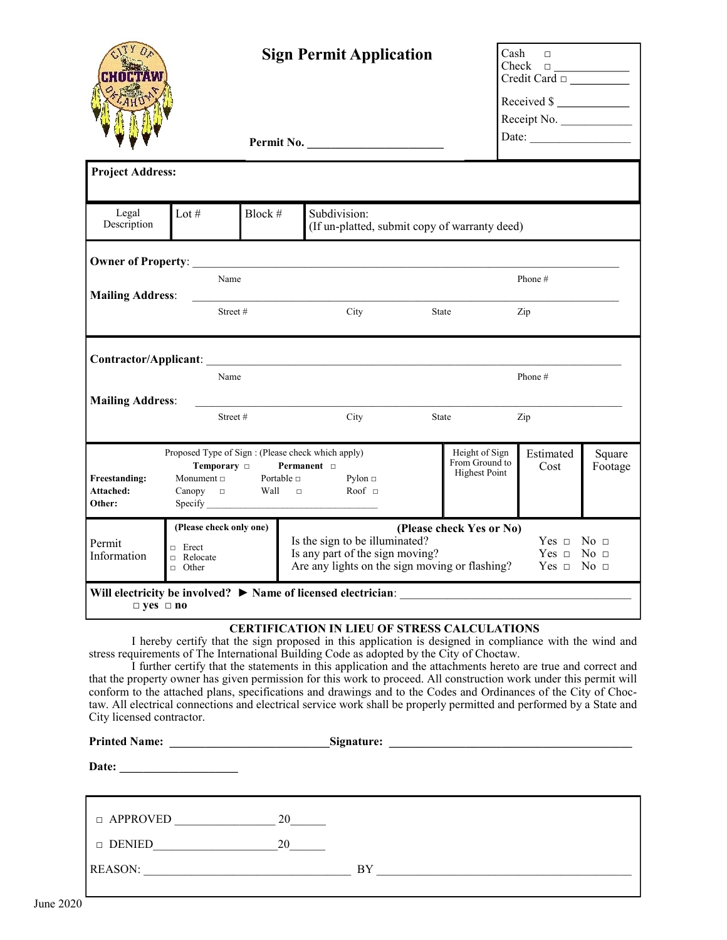|                                                            |                                                                                                                                                                                                                                                                                              | <b>Sign Permit Application</b> |                                                                                                                                                                                                                                                                                                                                                                                                                                                                                                                                                                                                                                                                                                                                                |       |                                                          |                   | Cash<br>$\Box$<br>Check<br>$\begin{tabular}{ c c c c } \hline \quad \quad & \quad \quad & \quad \quad \\ \hline \end{tabular}$<br>Credit Card $\Box$ |  |  |
|------------------------------------------------------------|----------------------------------------------------------------------------------------------------------------------------------------------------------------------------------------------------------------------------------------------------------------------------------------------|--------------------------------|------------------------------------------------------------------------------------------------------------------------------------------------------------------------------------------------------------------------------------------------------------------------------------------------------------------------------------------------------------------------------------------------------------------------------------------------------------------------------------------------------------------------------------------------------------------------------------------------------------------------------------------------------------------------------------------------------------------------------------------------|-------|----------------------------------------------------------|-------------------|------------------------------------------------------------------------------------------------------------------------------------------------------|--|--|
|                                                            |                                                                                                                                                                                                                                                                                              |                                |                                                                                                                                                                                                                                                                                                                                                                                                                                                                                                                                                                                                                                                                                                                                                |       |                                                          | Received \$       |                                                                                                                                                      |  |  |
|                                                            |                                                                                                                                                                                                                                                                                              |                                |                                                                                                                                                                                                                                                                                                                                                                                                                                                                                                                                                                                                                                                                                                                                                |       |                                                          | Receipt No.       |                                                                                                                                                      |  |  |
|                                                            |                                                                                                                                                                                                                                                                                              |                                |                                                                                                                                                                                                                                                                                                                                                                                                                                                                                                                                                                                                                                                                                                                                                |       |                                                          | Date:             |                                                                                                                                                      |  |  |
| <b>Project Address:</b>                                    |                                                                                                                                                                                                                                                                                              |                                |                                                                                                                                                                                                                                                                                                                                                                                                                                                                                                                                                                                                                                                                                                                                                |       |                                                          |                   |                                                                                                                                                      |  |  |
| Legal<br>Description                                       | Lot $#$                                                                                                                                                                                                                                                                                      | Block #                        | Subdivision:<br>(If un-platted, submit copy of warranty deed)                                                                                                                                                                                                                                                                                                                                                                                                                                                                                                                                                                                                                                                                                  |       |                                                          |                   |                                                                                                                                                      |  |  |
|                                                            |                                                                                                                                                                                                                                                                                              |                                |                                                                                                                                                                                                                                                                                                                                                                                                                                                                                                                                                                                                                                                                                                                                                |       |                                                          |                   |                                                                                                                                                      |  |  |
|                                                            | Name                                                                                                                                                                                                                                                                                         |                                |                                                                                                                                                                                                                                                                                                                                                                                                                                                                                                                                                                                                                                                                                                                                                |       |                                                          | Phone #           |                                                                                                                                                      |  |  |
| <b>Mailing Address:</b><br>Street#<br>City<br>State<br>Zip |                                                                                                                                                                                                                                                                                              |                                |                                                                                                                                                                                                                                                                                                                                                                                                                                                                                                                                                                                                                                                                                                                                                |       |                                                          |                   |                                                                                                                                                      |  |  |
| Phone#<br>Name<br><b>Mailing Address:</b>                  |                                                                                                                                                                                                                                                                                              |                                |                                                                                                                                                                                                                                                                                                                                                                                                                                                                                                                                                                                                                                                                                                                                                |       |                                                          |                   |                                                                                                                                                      |  |  |
|                                                            | Street#                                                                                                                                                                                                                                                                                      |                                | City                                                                                                                                                                                                                                                                                                                                                                                                                                                                                                                                                                                                                                                                                                                                           | State |                                                          | Zip               |                                                                                                                                                      |  |  |
| <b>Freestanding:</b><br>Attached:<br>Other:                | Proposed Type of Sign : (Please check which apply)<br>Temporary □<br>Monument $\Box$ Portable $\Box$                                                                                                                                                                                         |                                | Permanent $\Box$<br>Pylon $\Box$                                                                                                                                                                                                                                                                                                                                                                                                                                                                                                                                                                                                                                                                                                               |       | Height of Sign<br>From Ground to<br><b>Highest Point</b> | Estimated<br>Cost | Square<br>Footage                                                                                                                                    |  |  |
| Permit<br>Information                                      | (Please check only one)<br>(Please check Yes or No)<br>Is the sign to be illuminated?<br>$Yes \Box No \Box$<br>$\Box$ Erect<br>Is any part of the sign moving?<br>Yes $\Box$ No $\Box$<br>□ Relocate<br>Are any lights on the sign moving or flashing?<br>$Yes \Box No \Box$<br>$\Box$ Other |                                |                                                                                                                                                                                                                                                                                                                                                                                                                                                                                                                                                                                                                                                                                                                                                |       |                                                          |                   |                                                                                                                                                      |  |  |
| $\Box$ yes $\Box$ no                                       |                                                                                                                                                                                                                                                                                              |                                |                                                                                                                                                                                                                                                                                                                                                                                                                                                                                                                                                                                                                                                                                                                                                |       |                                                          |                   |                                                                                                                                                      |  |  |
| City licensed contractor.                                  |                                                                                                                                                                                                                                                                                              |                                | <b>CERTIFICATION IN LIEU OF STRESS CALCULATIONS</b><br>I hereby certify that the sign proposed in this application is designed in compliance with the wind and<br>stress requirements of The International Building Code as adopted by the City of Choctaw.<br>I further certify that the statements in this application and the attachments hereto are true and correct and<br>that the property owner has given permission for this work to proceed. All construction work under this permit will<br>conform to the attached plans, specifications and drawings and to the Codes and Ordinances of the City of Choc-<br>taw. All electrical connections and electrical service work shall be properly permitted and performed by a State and |       |                                                          |                   |                                                                                                                                                      |  |  |
|                                                            |                                                                                                                                                                                                                                                                                              |                                |                                                                                                                                                                                                                                                                                                                                                                                                                                                                                                                                                                                                                                                                                                                                                |       |                                                          |                   |                                                                                                                                                      |  |  |
| Date:                                                      | <u> 1989 - Johann Johann Stoff, deutscher Stoff, der Stoff, der Stoff, der Stoff, der Stoff, der Stoff, der Stoff</u>                                                                                                                                                                        |                                |                                                                                                                                                                                                                                                                                                                                                                                                                                                                                                                                                                                                                                                                                                                                                |       |                                                          |                   |                                                                                                                                                      |  |  |

| 191 |  |
|-----|--|
|     |  |
|     |  |

| □ APPROVED     | 20 |           |
|----------------|----|-----------|
| <b>DENIED</b>  | 20 |           |
| <b>REASON:</b> |    | <b>BY</b> |
|                |    |           |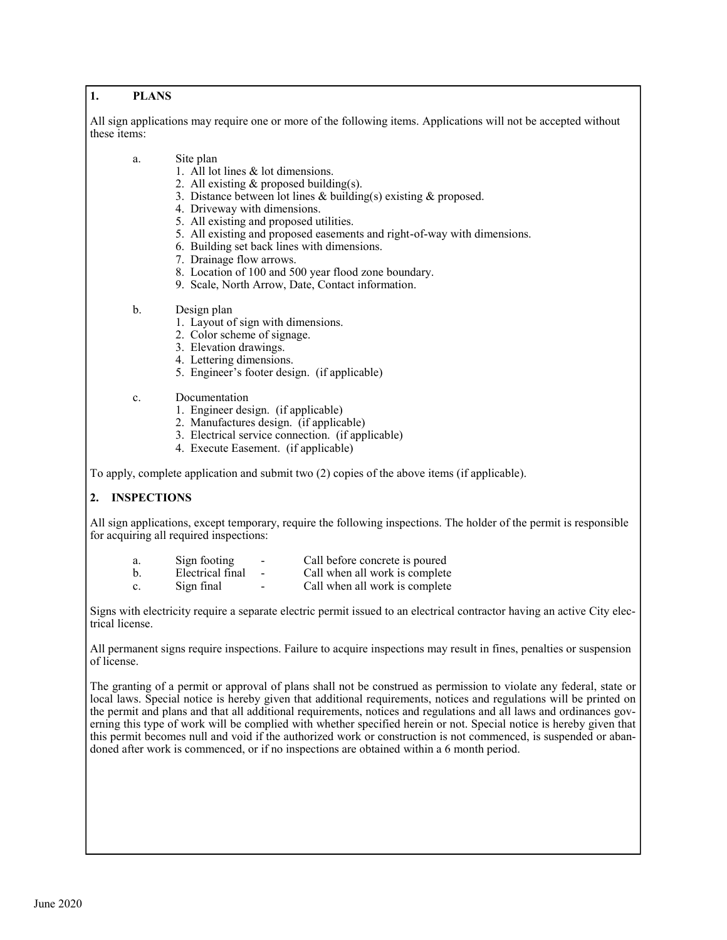## **1. PLANS**

All sign applications may require one or more of the following items. Applications will not be accepted without these items:

- a. Site plan
	- 1. All lot lines & lot dimensions.
	- 2. All existing & proposed building(s).
	- 3. Distance between lot lines & building(s) existing & proposed.
	- 4. Driveway with dimensions.
	- 5. All existing and proposed utilities.
	- 5. All existing and proposed easements and right-of-way with dimensions.
	- 6. Building set back lines with dimensions.
	- 7. Drainage flow arrows.
	- 8. Location of 100 and 500 year flood zone boundary.
	- 9. Scale, North Arrow, Date, Contact information.
- b. Design plan
	- 1. Layout of sign with dimensions.
	- 2. Color scheme of signage.
	- 3. Elevation drawings.
	- 4. Lettering dimensions.
	- 5. Engineer's footer design. (if applicable)
- c. Documentation
	- 1. Engineer design. (if applicable)
	- 2. Manufactures design. (if applicable)
	- 3. Electrical service connection. (if applicable)
	- 4. Execute Easement. (if applicable)

To apply, complete application and submit two (2) copies of the above items (if applicable).

## **2. INSPECTIONS**

All sign applications, except temporary, require the following inspections. The holder of the permit is responsible for acquiring all required inspections:

| a.             | Sign footing     | $\overline{\phantom{a}}$ | Call before concrete is poured |
|----------------|------------------|--------------------------|--------------------------------|
| b.             | Electrical final |                          | Call when all work is complete |
| $\mathbf{c}$ . | Sign final       | $\overline{\phantom{0}}$ | Call when all work is complete |

Signs with electricity require a separate electric permit issued to an electrical contractor having an active City electrical license.

All permanent signs require inspections. Failure to acquire inspections may result in fines, penalties or suspension of license.

The granting of a permit or approval of plans shall not be construed as permission to violate any federal, state or local laws. Special notice is hereby given that additional requirements, notices and regulations will be printed on the permit and plans and that all additional requirements, notices and regulations and all laws and ordinances governing this type of work will be complied with whether specified herein or not. Special notice is hereby given that this permit becomes null and void if the authorized work or construction is not commenced, is suspended or abandoned after work is commenced, or if no inspections are obtained within a 6 month period.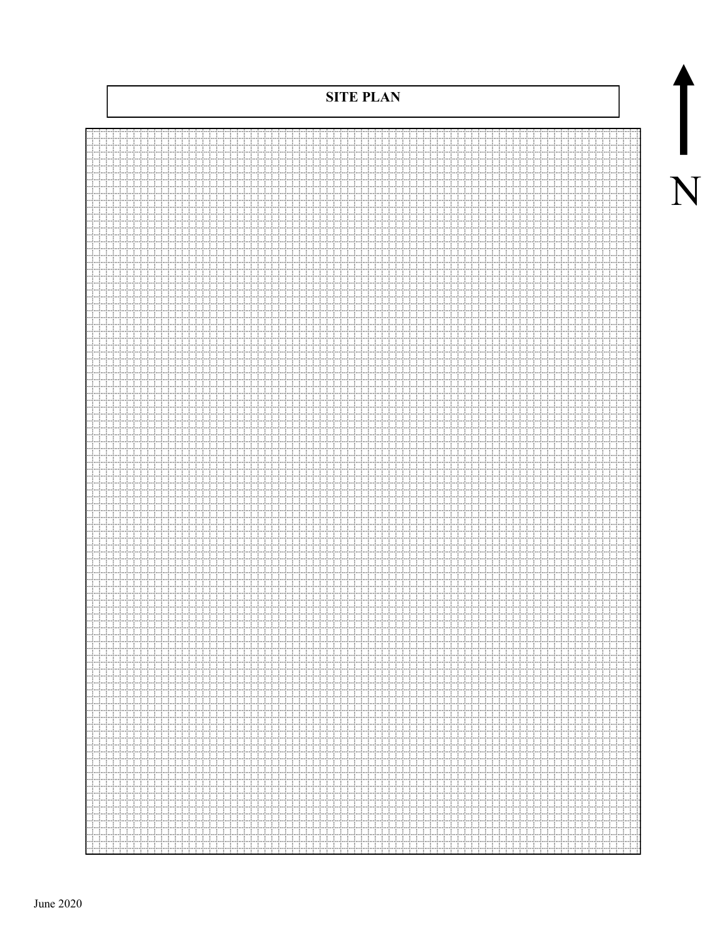**SITE PLAN** HI H للبلبيليا 44444 نسنسند q ii ĦĦ iii 444444 allanana ............ Ħ السائد